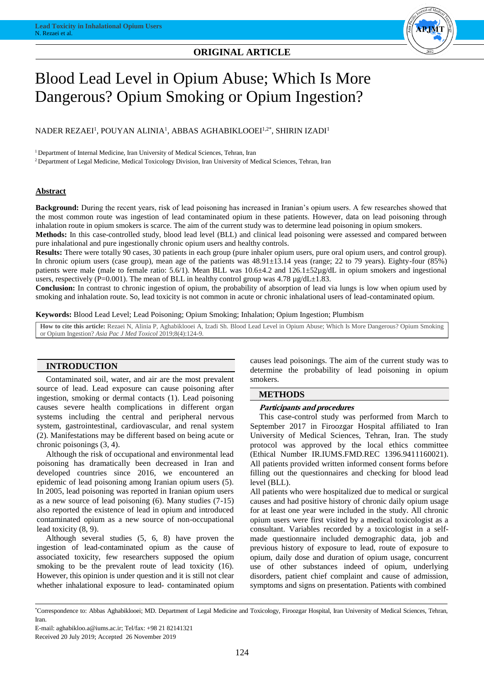## **ORIGINAL ARTICLE ORIGINAL ARTICLE**

# Blood Lead Level in Opium Abuse; Which Is More Dangerous? Opium Smoking or Opium Ingestion?

NADER REZAEI<sup>1</sup>, POUYAN ALINIA<sup>1</sup>, ABBAS AGHABIKLOOEI<sup>1,2\*</sup>, SHIRIN IZADI<sup>1</sup>

<sup>1</sup> Department of Internal Medicine, Iran University of Medical Sciences, Tehran, Iran

<sup>2</sup> Department of Legal Medicine, Medical Toxicology Division, Iran University of Medical Sciences, Tehran, Iran

## **Abstract**

**Background:** During the recent years, risk of lead poisoning has increased in Iranian's opium users. A few researches showed that the most common route was ingestion of lead contaminated opium in these patients. However, data on lead poisoning through inhalation route in opium smokers is scarce. The aim of the current study was to determine lead poisoning in opium smokers.

**Methods:** In this case-controlled study, blood lead level (BLL) and clinical lead poisoning were assessed and compared between pure inhalational and pure ingestionally chronic opium users and healthy controls.

**Results:** There were totally 90 cases, 30 patients in each group (pure inhaler opium users, pure oral opium users, and control group). In chronic opium users (case group), mean age of the patients was 48.91±13.14 yeas (range; 22 to 79 years). Eighty-four (85%) patients were male (male to female ratio: 5.6/1). Mean BLL was 10.6±4.2 and 126.1±52µg/dL in opium smokers and ingestional users, respectively (P=0.001). The mean of BLL in healthy control group was 4.78 µg/dL±1.83.

**Conclusion:** In contrast to chronic ingestion of opium, the probability of absorption of lead via lungs is low when opium used by smoking and inhalation route. So, lead toxicity is not common in acute or chronic inhalational users of lead-contaminated opium.

**Keywords:** Blood Lead Level; Lead Poisoning; Opium Smoking; Inhalation; Opium Ingestion; Plumbism

**How to cite this article:** Rezaei N, Alinia P, Aghabiklooei A, Izadi Sh. Blood Lead Level in Opium Abuse; Which Is More Dangerous? Opium Smoking or Opium Ingestion? *Asia Pac J Med Toxicol* 2019;8(4):124-9.

## **INTRODUCTION**

Contaminated soil, water, and air are the most prevalent source of lead. Lead exposure can cause poisoning after ingestion, smoking or dermal contacts (1). Lead poisoning causes severe health complications in different organ systems including the central and peripheral nervous system, gastrointestinal, cardiovascular, and renal system (2). Manifestations may be different based on being acute or chronic poisonings (3, 4).

Although the risk of occupational and environmental lead poisoning has dramatically been decreased in Iran and developed countries since 2016, we encountered an epidemic of lead poisoning among Iranian opium users (5). In 2005, lead poisoning was reported in Iranian opium users as a new source of lead poisoning (6). Many studies (7-15) also reported the existence of lead in opium and introduced contaminated opium as a new source of non-occupational lead toxicity (8, 9).

Although several studies (5, 6, 8) have proven the ingestion of lead-contaminated opium as the cause of associated toxicity, few researchers supposed the opium smoking to be the prevalent route of lead toxicity (16). However, this opinion is under question and it is still not clear whether inhalational exposure to lead- contaminated opium

causes lead poisonings. The aim of the current study was to determine the probability of lead poisoning in opium smokers.

## **METHODS**

#### **Participants and procedures**

This case-control study was performed from March to September 2017 in Firoozgar Hospital affiliated to Iran University of Medical Sciences, Tehran, Iran. The study protocol was approved by the local ethics committee (Ethical Number IR.IUMS.FMD.REC 1396.9411160021). All patients provided written informed consent forms before filling out the questionnaires and checking for blood lead level (BLL).

All patients who were hospitalized due to medical or surgical causes and had positive history of chronic daily opium usage for at least one year were included in the study. All chronic opium users were first visited by a medical toxicologist as a consultant. Variables recorded by a toxicologist in a selfmade questionnaire included demographic data, job and previous history of exposure to lead, route of exposure to opium, daily dose and duration of opium usage, concurrent use of other substances indeed of opium, underlying disorders, patient chief complaint and cause of admission, symptoms and signs on presentation. Patients with combined

E-mail: aghabikloo.a@iums.ac.ir; Tel/fax: +98 21 82141321

Received 20 July 2019; Accepted 26 November 2019

<sup>\*</sup>Correspondence to: Abbas Aghabiklooei; MD. Department of Legal Medicine and Toxicology, Firoozgar Hospital, Iran University of Medical Sciences, Tehran, Iran.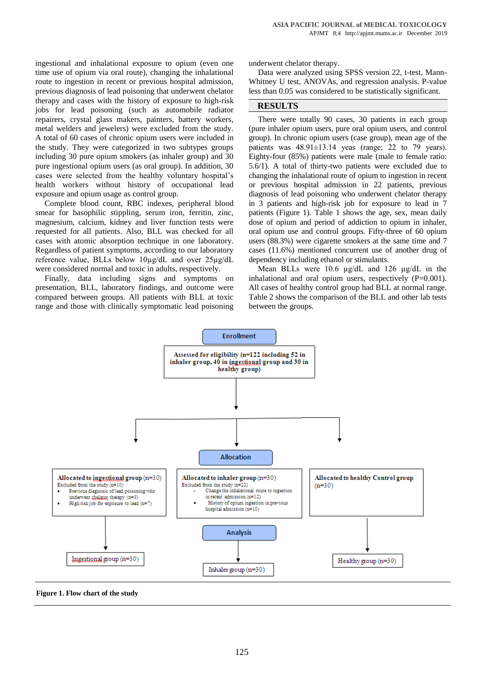ingestional and inhalational exposure to opium (even one time use of opium via oral route), changing the inhalational route to ingestion in recent or previous hospital admission, previous diagnosis of lead poisoning that underwent chelator therapy and cases with the history of exposure to high-risk jobs for lead poisoning (such as automobile radiator repairers, crystal glass makers, painters, battery workers, metal welders and jewelers) were excluded from the study. A total of 60 cases of chronic opium users were included in the study. They were categorized in two subtypes groups including 30 pure opium smokers (as inhaler group) and 30 pure ingestional opium users (as oral group). In addition, 30 cases were selected from the healthy voluntary hospital's health workers without history of occupational lead exposure and opium usage as control group.

Complete blood count, RBC indexes, peripheral blood smear for basophilic stippling, serum iron, ferritin, zinc, magnesium, calcium, kidney and liver function tests were requested for all patients. Also, BLL was checked for all cases with atomic absorption technique in one laboratory. Regardless of patient symptoms, according to our laboratory reference value, BLLs below 10µg/dL and over 25µg/dL were considered normal and toxic in adults, respectively.

Finally, data including signs and symptoms on presentation, BLL, laboratory findings, and outcome were compared between groups. All patients with BLL at toxic range and those with clinically symptomatic lead poisoning

underwent chelator therapy.

Data were analyzed using SPSS version 22, t-test, Mann-Whitney U test, ANOVAs, and regression analysis. P-value less than 0.05 was considered to be statistically significant.

## **RESULTS**

There were totally 90 cases, 30 patients in each group (pure inhaler opium users, pure oral opium users, and control group). In chronic opium users (case group), mean age of the patients was  $48.91 \pm 13.14$  yeas (range; 22 to 79 years). Eighty-four (85%) patients were male (male to female ratio: 5.6/1). A total of thirty-two patients were excluded due to changing the inhalational route of opium to ingestion in recent or previous hospital admission in 22 patients, previous diagnosis of lead poisoning who underwent chelator therapy in 3 patients and high-risk job for exposure to lead in 7 patients (Figure 1). Table 1 shows the age, sex, mean daily dose of opium and period of addiction to opium in inhaler, oral opium use and control groups. Fifty-three of 60 opium users (88.3%) were cigarette smokers at the same time and 7 cases (11.6%) mentioned concurrent use of another drug of dependency including ethanol or stimulants.

Mean BLLs were 10.6 µg/dL and 126 µg/dL in the inhalational and oral opium users, respectively (P=0.001). All cases of healthy control group had BLL at normal range. Table 2 shows the comparison of the BLL and other lab tests between the groups.



**Figure 1. Flow chart of the study**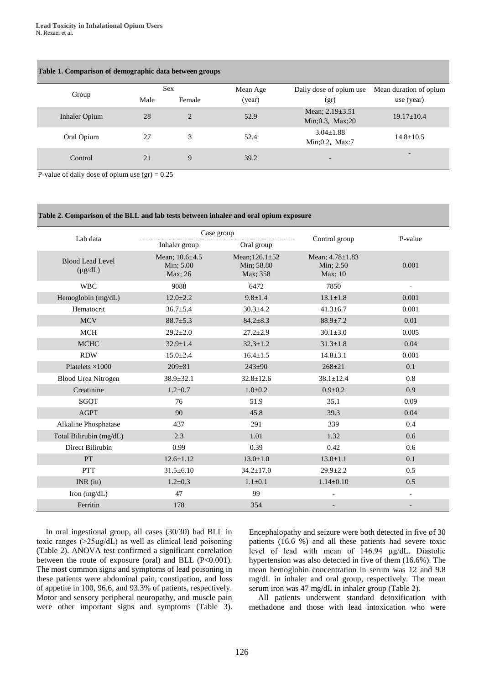**Table 1. Comparison of demographic data between groups**

| Group         | Sex  |        | Mean Age | Daily dose of opium use                  | Mean duration of opium   |
|---------------|------|--------|----------|------------------------------------------|--------------------------|
|               | Male | Female | (year)   | (gr)                                     | use (year)               |
| Inhaler Opium | 28   | 2      | 52.9     | Mean; $2.19 \pm 3.51$<br>Min;0.3, Max;20 | $19.17 \pm 10.4$         |
| Oral Opium    | 27   | 3      | 52.4     | $3.04 \pm 1.88$<br>Min;0.2, Max:7        | $14.8 \pm 10.5$          |
| Control       | 21   | 9      | 39.2     | $\overline{\phantom{a}}$                 | $\overline{\phantom{0}}$ |

P-value of daily dose of opium use  $(gr) = 0.25$ 

## **Table 2. Comparison of the BLL and lab tests between inhaler and oral opium exposure**

| Lab data                                | Case group                                   |                                                |                                               | P-value |
|-----------------------------------------|----------------------------------------------|------------------------------------------------|-----------------------------------------------|---------|
|                                         | Inhaler group                                | Oral group                                     | Control group                                 |         |
| <b>Blood Lead Level</b><br>$(\mu g/dL)$ | Mean: $10.6 \pm 4.5$<br>Min; 5.00<br>Max; 26 | Mean; $126.1 \pm 52$<br>Min: 58.80<br>Max; 358 | Mean; $4.78 \pm 1.83$<br>Min; 2.50<br>Max; 10 | 0.001   |
| <b>WBC</b>                              | 9088                                         | 6472                                           | 7850                                          |         |
| Hemoglobin (mg/dL)                      | $12.0 \pm 2.2$                               | $9.8 \pm 1.4$                                  | $13.1 \pm 1.8$                                | 0.001   |
| Hematocrit                              | $36.7 \pm 5.4$                               | $30.3 \pm 4.2$                                 | $41.3 \pm 6.7$                                | 0.001   |
| <b>MCV</b>                              | $88.7 \pm 5.3$                               | $84.2 \pm 8.3$                                 | $88.9 \pm 7.2$                                | 0.01    |
| <b>MCH</b>                              | $29.2 \pm 2.0$                               | $27.2 \pm 2.9$                                 | $30.1 \pm 3.0$                                | 0.005   |
| <b>MCHC</b>                             | $32.9 \pm 1.4$                               | $32.3 \pm 1.2$                                 | $31.3 \pm 1.8$                                | 0.04    |
| <b>RDW</b>                              | $15.0 \pm 2.4$                               | $16.4 \pm 1.5$                                 | $14.8 \pm 3.1$                                | 0.001   |
| Platelets $\times$ 1000                 | $209 \pm 81$                                 | $243+90$                                       | $268 + 21$                                    | 0.1     |
| <b>Blood Urea Nitrogen</b>              | $38.9 \pm 32.1$                              | $32.8 + 12.6$                                  | $38.1 \pm 12.4$                               | 0.8     |
| Creatinine                              | $1.2 \pm 0.7$                                | $1.0+0.2$                                      | $0.9 \pm 0.2$                                 | 0.9     |
| <b>SGOT</b>                             | 76                                           | 51.9                                           | 35.1                                          | 0.09    |
| <b>AGPT</b>                             | 90                                           | 45.8                                           | 39.3                                          | 0.04    |
| Alkaline Phosphatase                    | 437                                          | 291                                            | 339                                           | 0.4     |
| Total Bilirubin (mg/dL)                 | 2.3                                          | 1.01                                           | 1.32                                          | 0.6     |
| Direct Bilirubin                        | 0.99                                         | 0.39                                           | 0.42                                          | 0.6     |
| <b>PT</b>                               | $12.6 + 1.12$                                | $13.0 \pm 1.0$                                 | $13.0 \pm 1.1$                                | 0.1     |
| <b>PTT</b>                              | $31.5 \pm 6.10$                              | $34.2 \pm 17.0$                                | $29.9 \pm 2.2$                                | 0.5     |
| $INR$ (iu)                              | $1.2 \pm 0.3$                                | $1.1 \pm 0.1$                                  | $1.14 \pm 0.10$                               | 0.5     |
| Iron (mg/dL)                            | 47                                           | 99                                             |                                               |         |
| Ferritin                                | 178                                          | 354                                            |                                               |         |

In oral ingestional group, all cases (30/30) had BLL in toxic ranges (>25µg/dL) as well as clinical lead poisoning (Table 2). ANOVA test confirmed a significant correlation between the route of exposure (oral) and BLL (P<0.001). The most common signs and symptoms of lead poisoning in these patients were abdominal pain, constipation, and loss of appetite in 100, 96.6, and 93.3% of patients, respectively. Motor and sensory peripheral neuropathy, and muscle pain were other important signs and symptoms (Table 3). Encephalopathy and seizure were both detected in five of 30 patients (16.6 %) and all these patients had severe toxic level of lead with mean of 146.94 µg/dL. Diastolic hypertension was also detected in five of them (16.6%). The mean hemoglobin concentration in serum was 12 and 9.8 mg/dL in inhaler and oral group, respectively. The mean serum iron was 47 mg/dL in inhaler group (Table 2).

All patients underwent standard detoxification with methadone and those with lead intoxication who were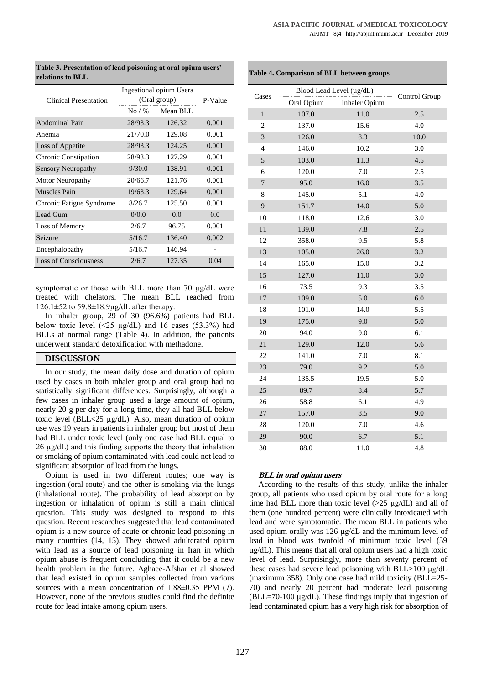| Table 3. Presentation of lead poisoning at oral opium users' |  |  |
|--------------------------------------------------------------|--|--|
| relations to BLL                                             |  |  |

| Clinical Presentation        | Ingestional opium Users<br>(Oral group) |          | P-Value |
|------------------------------|-----------------------------------------|----------|---------|
|                              | $N_0$ / %                               | Mean RLL |         |
| Abdominal Pain               | 28/93.3                                 | 126.32   | 0.001   |
| Anemia                       | 21/70.0                                 | 129.08   | 0.001   |
| Loss of Appetite             | 28/93.3                                 | 124.25   | 0.001   |
| Chronic Constipation         | 28/93.3                                 | 127.29   | 0.001   |
| Sensory Neuropathy           | 9/30.0                                  | 138.91   | 0.001   |
| <b>Motor Neuropathy</b>      | 20/66.7                                 | 121.76   | 0.001   |
| Muscles Pain                 | 19/63.3                                 | 129.64   | 0.001   |
| Chronic Fatigue Syndrome     | 8/26.7                                  | 125.50   | 0.001   |
| Lead Gum                     | 0/0.0                                   | 0.0      | 0.0     |
| Loss of Memory               | 2/6.7                                   | 96.75    | 0.001   |
| Seizure                      | 5/16.7                                  | 136.40   | 0.002   |
| Encephalopathy               | 5/16.7                                  | 146.94   |         |
| <b>Loss of Consciousness</b> | 2/6.7                                   | 127.35   | 0.04    |

symptomatic or those with BLL more than 70  $\mu$ g/dL were treated with chelators. The mean BLL reached from 126.1±52 to 59.8±18.9µg/dL after therapy.

In inhaler group, 29 of 30 (96.6%) patients had BLL below toxic level  $(\leq 25 \text{ µg/dL})$  and 16 cases  $(53.3\%)$  had BLLs at normal range (Table 4). In addition, the patients underwent standard detoxification with methadone.

## **DISCUSSION**

In our study, the mean daily dose and duration of opium used by cases in both inhaler group and oral group had no statistically significant differences. Surprisingly, although a few cases in inhaler group used a large amount of opium, nearly 20 g per day for a long time, they all had BLL below toxic level (BLL<25 µg/dL). Also, mean duration of opium use was 19 years in patients in inhaler group but most of them had BLL under toxic level (only one case had BLL equal to 26 µg/dL) and this finding supports the theory that inhalation or smoking of opium contaminated with lead could not lead to significant absorption of lead from the lungs.

Opium is used in two different routes; one way is ingestion (oral route) and the other is smoking via the lungs (inhalational route). The probability of lead absorption by ingestion or inhalation of opium is still a main clinical question. This study was designed to respond to this question. Recent researches suggested that lead contaminated opium is a new source of acute or chronic lead poisoning in many countries (14, 15). They showed adulterated opium with lead as a source of lead poisoning in Iran in which opium abuse is frequent concluding that it could be a new health problem in the future. Aghaee-Afshar et al showed that lead existed in opium samples collected from various sources with a mean concentration of  $1.88\pm0.35$  PPM (7). However, none of the previous studies could find the definite route for lead intake among opium users.

| Table 4. Comparison of BLL between groups |  |  |  |
|-------------------------------------------|--|--|--|
|-------------------------------------------|--|--|--|

|                          | Blood Lead Level (µg/dL) |                      |               |  |
|--------------------------|--------------------------|----------------------|---------------|--|
| Cases                    | Oral Opium               | <b>Inhaler Opium</b> | Control Group |  |
| $\mathbf{1}$             | 107.0                    | 11.0                 | 2.5           |  |
| $\overline{c}$           | 137.0                    | 15.6                 | 4.0           |  |
| $\overline{3}$           | 126.0                    | 8.3                  | 10.0          |  |
| $\overline{\mathcal{L}}$ | 146.0                    | 10.2                 | 3.0           |  |
| 5                        | 103.0                    | 11.3                 | 4.5           |  |
| 6                        | 120.0                    | 7.0                  | 2.5           |  |
| $\sqrt{ }$               | 95.0                     | 16.0                 | 3.5           |  |
| 8                        | 145.0                    | 5.1                  | 4.0           |  |
| 9                        | 151.7                    | 14.0                 | 5.0           |  |
| 10                       | 118.0                    | 12.6                 | 3.0           |  |
| $1\,1$                   | 139.0                    | 7.8                  | $2.5\,$       |  |
| 12                       | 358.0                    | 9.5                  | 5.8           |  |
| 13                       | 105.0                    | 26.0                 | 3.2           |  |
| 14                       | 165.0                    | 15.0                 | 3.2           |  |
| 15                       | 127.0                    | 11.0                 | 3.0           |  |
| 16                       | 73.5                     | 9.3                  | 3.5           |  |
| $17\,$                   | 109.0                    | 5.0                  | 6.0           |  |
| 18                       | 101.0                    | 14.0                 | 5.5           |  |
| 19                       | 175.0                    | 9.0                  | 5.0           |  |
| 20                       | 94.0                     | 9.0                  | 6.1           |  |
| 21                       | 129.0                    | 12.0                 | 5.6           |  |
| 22                       | 141.0                    | 7.0                  | 8.1           |  |
| 23                       | 79.0                     | 9.2                  | 5.0           |  |
| 24                       | 135.5                    | 19.5                 | 5.0           |  |
| 25                       | 89.7                     | 8.4                  | 5.7           |  |
| 26                       | 58.8                     | 6.1                  | 4.9           |  |
| $27\,$                   | 157.0                    | 8.5                  | 9.0           |  |
| 28                       | 120.0                    | 7.0                  | 4.6           |  |
| 29                       | 90.0                     | 6.7                  | 5.1           |  |
| 30                       | 88.0                     | 11.0                 | 4.8           |  |

#### **BLL in oral opium users**

According to the results of this study, unlike the inhaler group, all patients who used opium by oral route for a long time had BLL more than toxic level  $(>25 \text{ µg}/dL)$  and all of them (one hundred percent) were clinically intoxicated with lead and were symptomatic. The mean BLL in patients who used opium orally was 126 μg/dL and the minimum level of lead in blood was twofold of minimum toxic level (59 μg/dL). This means that all oral opium users had a high toxic level of lead. Surprisingly, more than seventy percent of these cases had severe lead poisoning with BLL>100 μg/dL (maximum 358). Only one case had mild toxicity (BLL=25- 70) and nearly 20 percent had moderate lead poisoning  $(BLL=70-100 \mu g/dL)$ . These findings imply that ingestion of lead contaminated opium has a very high risk for absorption of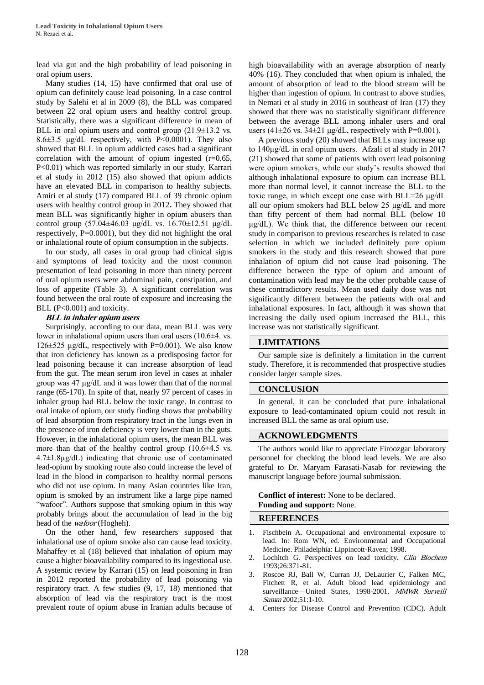lead via gut and the high probability of lead poisoning in oral opium users.

Many studies (14, 15) have confirmed that oral use of opium can definitely cause lead poisoning. In a case control study by Salehi et al in 2009 (8), the BLL was compared between 22 oral opium users and healthy control group. Statistically, there was a significant difference in mean of BLL in oral opium users and control group  $(21.9\pm13.2 \text{ vs.})$ 8.6 $\pm$ 3.5 µg/dL respectively, with P<0.0001). They also showed that BLL in opium addicted cases had a significant correlation with the amount of opium ingested  $(r=0.65,$ P<0.01) which was reported similarly in our study. Karrari et al study in 2012 (15) also showed that opium addicts have an elevated BLL in comparison to healthy subjects. Amiri et al study (17) compared BLL of 39 chronic opium users with healthy control group in 2012**.** They showed that mean BLL was significantly higher in opium abusers than control group (57.04±46.03 μg/dL vs. 16.70±12.51 μg/dL respectively, P=0.0001), but they did not highlight the oral or inhalational route of opium consumption in the subjects.

In our study, all cases in oral group had clinical signs and symptoms of lead toxicity and the most common presentation of lead poisoning in more than ninety percent of oral opium users were abdominal pain, constipation, and loss of appetite (Table 3). A significant correlation was found between the oral route of exposure and increasing the BLL (P<0.001) and toxicity.

## **BLL in inhaler opium users**

Surprisingly, according to our data, mean BLL was very lower in inhalational opium users than oral users (10.6±4. vs.  $126\pm525$  µg/dL, respectively with P=0.001). We also know that iron deficiency has known as a predisposing factor for lead poisoning because it can increase absorption of lead from the gut. The mean serum iron level in cases at inhaler group was 47 µg/dL and it was lower than that of the normal range (65-170). In spite of that, nearly 97 percent of cases in inhaler group had BLL below the toxic range. In contrast to oral intake of opium, our study finding shows that probability of lead absorption from respiratory tract in the lungs even in the presence of iron deficiency is very lower than in the guts. However, in the inhalational opium users, the mean BLL was more than that of the healthy control group (10.6±4.5 vs. 4.7±1.8µg/dL) indicating that chronic use of contaminated lead-opium by smoking route also could increase the level of lead in the blood in comparison to healthy normal persons who did not use opium. In many Asian countries like Iran, opium is smoked by an instrument like a large pipe named "wafoor". Authors suppose that smoking opium in this way probably brings about the accumulation of lead in the big head of the *wafoor* (Hogheh).

On the other hand, few researchers supposed that inhalational use of opium smoke also can cause lead toxicity. Mahaffey et al (18) believed that inhalation of opium may cause a higher bioavailability compared to its ingestional use. A systemic review by Karrari (15) on lead poisoning in Iran in 2012 reported the probability of lead poisoning via respiratory tract. A few studies (9, 17, 18) mentioned that absorption of lead via the respiratory tract is the most prevalent route of opium abuse in Iranian adults because of high bioavailability with an average absorption of nearly 40% (16). They concluded that when opium is inhaled, the amount of absorption of lead to the blood stream will be higher than ingestion of opium. In contrast to above studies, in Nemati et al study in 2016 in southeast of Iran (17) they showed that there was no statistically significant difference between the average BLL among inhaler users and oral users (41 $\pm$ 26 vs. 34 $\pm$ 21 μg/dL, respectively with P=0.001).

A previous study (20) showed that BLLs may increase up to 140µg/dL in oral opium users. Afzali et al study in 2017 (21) showed that some of patients with overt lead poisoning were opium smokers, while our study's results showed that although inhalational exposure to opium can increase BLL more than normal level, it cannot increase the BLL to the toxic range, in which except one case with BLL=26 μg/dL all our opium smokers had BLL below 25 μg/dL and more than fifty percent of them had normal BLL (below 10 μg/dL). We think that, the difference between our recent study in comparison to previous researches is related to case selection in which we included definitely pure opium smokers in the study and this research showed that pure inhalation of opium did not cause lead poisoning. The difference between the type of opium and amount of contamination with lead may be the other probable cause of these contradictory results. Mean used daily dose was not significantly different between the patients with oral and inhalational exposures. In fact, although it was shown that increasing the daily used opium increased the BLL, this increase was not statistically significant.

## **LIMITATIONS**

Our sample size is definitely a limitation in the current study. Therefore, it is recommended that prospective studies consider larger sample sizes.

## **CONCLUSION**

In general, it can be concluded that pure inhalational exposure to lead-contaminated opium could not result in increased BLL the same as oral opium use.

#### **ACKNOWLEDGMENTS**

The authors would like to appreciate Firoozgar laboratory personnel for checking the blood lead levels. We are also grateful to Dr. Maryam Farasati-Nasab for reviewing the manuscript language before journal submission.

## **Conflict of interest:** None to be declared. **Funding and support:** None.

#### **REFERENCES**

- 1. Fischbein A. Occupational and environmental exposure to lead. In: Rom WN, ed. Environmental and Occupational Medicine. Philadelphia: Lippincott-Raven; 1998.
- 2. Lochitch G. Perspectives on lead toxicity. Clin Biochem 1993;26:371-81.
- 3. Roscoe RJ, Ball W, Curran JJ, DeLaurier C, Falken MC, Fitchett R, et al. Adult blood lead epidemiology and surveillance—United States, 1998-2001. MMWR Surveill Summ 2002;51:1-10.
- 4. Centers for Disease Control and Prevention (CDC). Adult